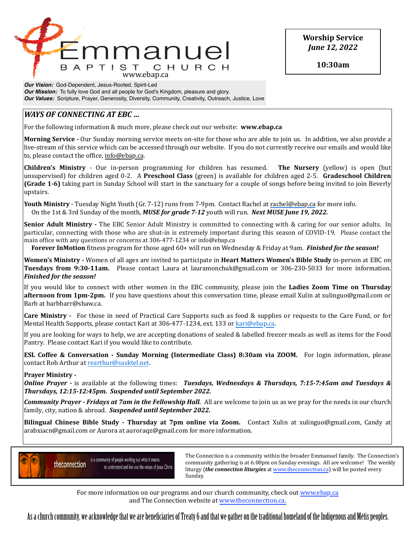

**Worship Service** *June 12, 2022*

**10:30am**

*Our Vision:* God-Dependent, Jesus-Rooted, Spirit-Led *Our Mission:* To fully love God and all people for God's Kingdom, pleasure and glory. *Our Values:* Scripture, Prayer, Generosity, Diversity, Community, Creativity, Outreach, Justice, Love

# *WAYS* OF CONNECTING AT EBC ...

For the following information & much more, please check out our website: **www.ebap.ca** 

**Morning Service** - Our Sunday morning service meets on-site for those who are able to join us. In addition, we also provide a live-stream of this service which can be accessed through our website. If you do not currently receive our emails and would like to, please contact the office, info@ebap.ca.

**Children's Ministry** - Our in-person programming for children has resumed. The Nursery (yellow) is open (but unsupervised) for children aged 0-2. A **Preschool Class** (green) is available for children aged 2-5. **Gradeschool Children (Grade 1-6)** taking part in Sunday School will start in the sanctuary for a couple of songs before being invited to join Beverly upstairs. 

**Youth Ministry** - Tuesday Night Youth (Gr. 7-12) runs from 7-9pm. Contact Rachel at [rachel@ebap.ca](mailto:rachel@ebap.ca) for more info. On the 1st & 3rd Sunday of the month, *MUSE for grade 7-12* youth will run. *Next MUSE June 19, 2022.* 

**Senior Adult Ministry** - The EBC Senior Adult Ministry is committed to connecting with & caring for our senior adults. In particular, connecting with those who are shut-in is extremely important during this season of COVID-19. Please contact the main office with any questions or concerns at 306-477-1234 or info@ebap.ca

**Forever InMotion** fitness program for those aged 60+ will run on Wednesday & Friday at 9am. *Finished for the season!* 

**Women's Ministry** - Women of all ages are invited to participate in **Heart Matters Women's Bible Study** in-person at EBC on **Tuesdays from 9:30-11am.** Please contact Laura at lauramonchuk@gmail.com or 306-230-5033 for more information. *Finished for the season!* 

If you would like to connect with other women in the EBC community, please join the **Ladies Zoom Time on Thursday afternoon from 1pm-2pm.** If you have questions about this conversation time, please email Xulin at xulinguo@gmail.com or Barb at barbbarr@shaw.ca.

**Care Ministry** - For those in need of Practical Care Supports such as food & supplies or requests to the Care Fund, or for Mental Health Supports, please contact Kari at 306-477-1234, ext. 133 or [kari@ebap.ca.](mailto:kari@ebap.ca)

If you are looking for ways to help, we are accepting donations of sealed & labelled freezer meals as well as items for the Food Pantry. Please contact Kari if you would like to contribute.

**ESL Coffee & Conversation - Sunday Morning (Intermediate Class) 8:30am via ZOOM.** For login information, please contact Rob Arthur at [rearthur@sasktel.net.](mailto:rearthur@sasktel.net)

## **Prayer Ministry -**

*Online Prayer* - is available at the following times: *Tuesdays, Wednesdays & Thursdays, 7:15-7:45am and Tuesdays & Thursdays, 12:15-12:45pm. Suspended until September 2022.* 

**Community Prayer** - Fridays at 7am in the Fellowship Hall. All are welcome to join us as we pray for the needs in our church family, city, nation & abroad. Suspended until September 2022.

**Bilingual Chinese Bible Study - Thursday at 7pm online via Zoom.** Contact Xulin at xulinguo@gmail.com, Candy at arabxiacn@gmail.com or Aurora at auroraqz@gmail.com for more information.



 $\sum_{n=1}^{\infty}$  The Connection is a community within the broader Emmanuel family. The Connection's community gathering is at 6:00pm on Sunday evenings. All are welcome! The weekly liturgy (*the connection liturgies* at www.theconnection.ca) will be posted every Sunday. The contract of the contract of the contract of the contract of the contract of the contract of the contract of the contract of the contract of the contract of the contract of the contract of the contract of the co

For more information on our programs and our church community, check out www.ebap.ca and The Connection website at [www.theconnection.ca](http://www.theconnection.ca).

As a church community, we acknowledge that we are benefciaries of Treaty 6 and that we gather on the traditional homeland of the Indigenous and Métis peoples.